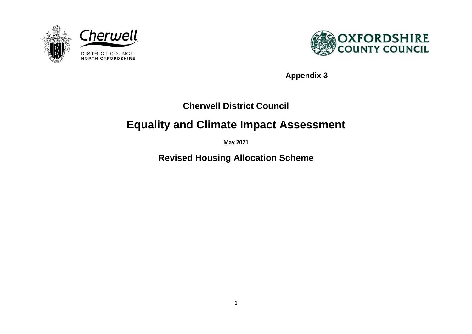



**Appendix 3**

# **Cherwell District Council**

# **Equality and Climate Impact Assessment**

**May 2021**

**Revised Housing Allocation Scheme**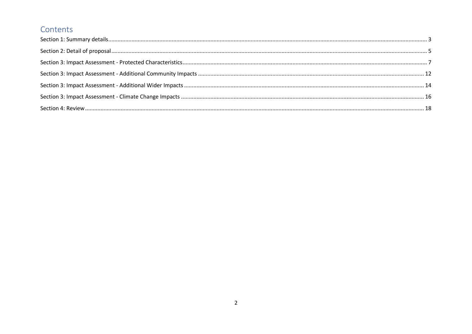#### Contents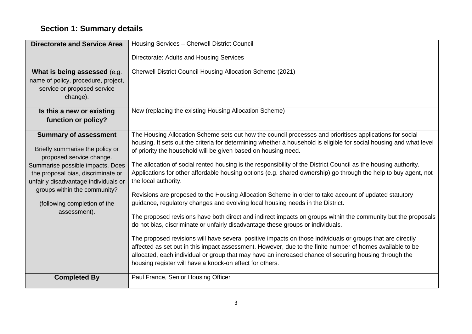# <span id="page-2-0"></span>**Section 1: Summary details**

| <b>Directorate and Service Area</b>                         | Housing Services - Cherwell District Council                                                                                                                                                     |
|-------------------------------------------------------------|--------------------------------------------------------------------------------------------------------------------------------------------------------------------------------------------------|
|                                                             | Directorate: Adults and Housing Services                                                                                                                                                         |
| What is being assessed (e.g.                                | Cherwell District Council Housing Allocation Scheme (2021)                                                                                                                                       |
| name of policy, procedure, project,                         |                                                                                                                                                                                                  |
| service or proposed service                                 |                                                                                                                                                                                                  |
| change).                                                    |                                                                                                                                                                                                  |
| Is this a new or existing                                   | New (replacing the existing Housing Allocation Scheme)                                                                                                                                           |
| function or policy?                                         |                                                                                                                                                                                                  |
| <b>Summary of assessment</b>                                | The Housing Allocation Scheme sets out how the council processes and prioritises applications for social                                                                                         |
|                                                             | housing. It sets out the criteria for determining whether a household is eligible for social housing and what level                                                                              |
| Briefly summarise the policy or<br>proposed service change. | of priority the household will be given based on housing need.                                                                                                                                   |
| Summarise possible impacts. Does                            | The allocation of social rented housing is the responsibility of the District Council as the housing authority.                                                                                  |
| the proposal bias, discriminate or                          | Applications for other affordable housing options (e.g. shared ownership) go through the help to buy agent, not                                                                                  |
| unfairly disadvantage individuals or                        | the local authority.                                                                                                                                                                             |
| groups within the community?                                | Revisions are proposed to the Housing Allocation Scheme in order to take account of updated statutory                                                                                            |
| (following completion of the                                | guidance, regulatory changes and evolving local housing needs in the District.                                                                                                                   |
| assessment).                                                |                                                                                                                                                                                                  |
|                                                             | The proposed revisions have both direct and indirect impacts on groups within the community but the proposals<br>do not bias, discriminate or unfairly disadvantage these groups or individuals. |
|                                                             |                                                                                                                                                                                                  |
|                                                             | The proposed revisions will have several positive impacts on those individuals or groups that are directly                                                                                       |
|                                                             | affected as set out in this impact assessment. However, due to the finite number of homes available to be                                                                                        |
|                                                             | allocated, each individual or group that may have an increased chance of securing housing through the                                                                                            |
|                                                             | housing register will have a knock-on effect for others.                                                                                                                                         |
| <b>Completed By</b>                                         | Paul France, Senior Housing Officer                                                                                                                                                              |
|                                                             |                                                                                                                                                                                                  |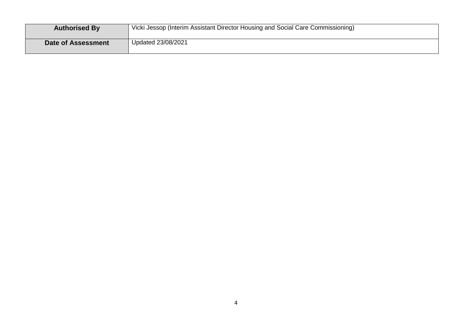<span id="page-3-0"></span>

| <b>Authorised By</b>      | Vicki Jessop (Interim Assistant Director Housing and Social Care Commissioning) |
|---------------------------|---------------------------------------------------------------------------------|
| <b>Date of Assessment</b> | Updated 23/08/2021                                                              |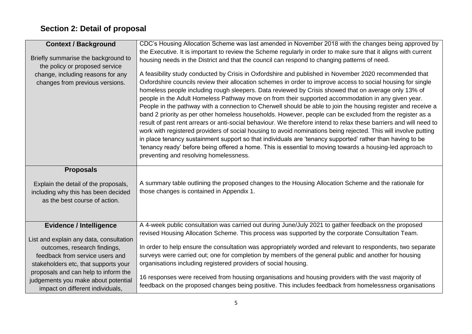# **Section 2: Detail of proposal**

| <b>Context / Background</b><br>Briefly summarise the background to<br>the policy or proposed service<br>change, including reasons for any<br>changes from previous versions.                                                                                                                            | CDC's Housing Allocation Scheme was last amended in November 2018 with the changes being approved by<br>the Executive. It is important to review the Scheme regularly in order to make sure that it aligns with current<br>housing needs in the District and that the council can respond to changing patterns of need.<br>A feasibility study conducted by Crisis in Oxfordshire and published in November 2020 recommended that<br>Oxfordshire councils review their allocation schemes in order to improve access to social housing for single<br>homeless people including rough sleepers. Data reviewed by Crisis showed that on average only 13% of<br>people in the Adult Homeless Pathway move on from their supported accommodation in any given year.<br>People in the pathway with a connection to Cherwell should be able to join the housing register and receive a<br>band 2 priority as per other homeless households. However, people can be excluded from the register as a<br>result of past rent arrears or anti-social behaviour. We therefore intend to relax these barriers and will need to<br>work with registered providers of social housing to avoid nominations being rejected. This will involve putting<br>in place tenancy sustainment support so that individuals are 'tenancy supported' rather than having to be<br>'tenancy ready' before being offered a home. This is essential to moving towards a housing-led approach to<br>preventing and resolving homelessness. |
|---------------------------------------------------------------------------------------------------------------------------------------------------------------------------------------------------------------------------------------------------------------------------------------------------------|------------------------------------------------------------------------------------------------------------------------------------------------------------------------------------------------------------------------------------------------------------------------------------------------------------------------------------------------------------------------------------------------------------------------------------------------------------------------------------------------------------------------------------------------------------------------------------------------------------------------------------------------------------------------------------------------------------------------------------------------------------------------------------------------------------------------------------------------------------------------------------------------------------------------------------------------------------------------------------------------------------------------------------------------------------------------------------------------------------------------------------------------------------------------------------------------------------------------------------------------------------------------------------------------------------------------------------------------------------------------------------------------------------------------------------------------------------------------------------------------------------|
| <b>Proposals</b><br>Explain the detail of the proposals,<br>including why this has been decided<br>as the best course of action.                                                                                                                                                                        | A summary table outlining the proposed changes to the Housing Allocation Scheme and the rationale for<br>those changes is contained in Appendix 1.                                                                                                                                                                                                                                                                                                                                                                                                                                                                                                                                                                                                                                                                                                                                                                                                                                                                                                                                                                                                                                                                                                                                                                                                                                                                                                                                                         |
| <b>Evidence / Intelligence</b><br>List and explain any data, consultation<br>outcomes, research findings,<br>feedback from service users and<br>stakeholders etc, that supports your<br>proposals and can help to inform the<br>judgements you make about potential<br>impact on different individuals, | A 4-week public consultation was carried out during June/July 2021 to gather feedback on the proposed<br>revised Housing Allocation Scheme. This process was supported by the corporate Consultation Team.<br>In order to help ensure the consultation was appropriately worded and relevant to respondents, two separate<br>surveys were carried out; one for completion by members of the general public and another for housing<br>organisations including registered providers of social housing.<br>16 responses were received from housing organisations and housing providers with the vast majority of<br>feedback on the proposed changes being positive. This includes feedback from homelessness organisations                                                                                                                                                                                                                                                                                                                                                                                                                                                                                                                                                                                                                                                                                                                                                                                  |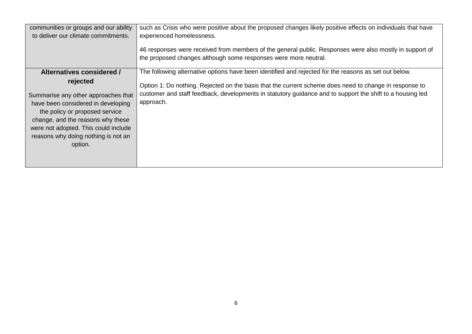| communities or groups and our ability<br>to deliver our climate commitments.                                                                                                                                                                                                        | such as Crisis who were positive about the proposed changes likely positive effects on individuals that have<br>experienced homelessness.<br>46 responses were received from members of the general public. Responses were also mostly in support of<br>the proposed changes although some responses were more neutral.                   |
|-------------------------------------------------------------------------------------------------------------------------------------------------------------------------------------------------------------------------------------------------------------------------------------|-------------------------------------------------------------------------------------------------------------------------------------------------------------------------------------------------------------------------------------------------------------------------------------------------------------------------------------------|
| Alternatives considered /<br>rejected<br>Summarise any other approaches that<br>have been considered in developing<br>the policy or proposed service<br>change, and the reasons why these<br>were not adopted. This could include<br>reasons why doing nothing is not an<br>option. | The following alternative options have been identified and rejected for the reasons as set out below.<br>Option 1: Do nothing. Rejected on the basis that the current scheme does need to change in response to<br>customer and staff feedback, developments in statutory guidance and to support the shift to a housing led<br>approach. |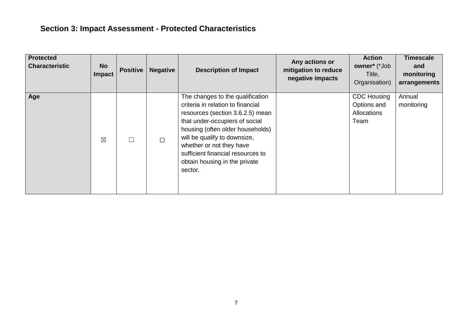# <span id="page-6-0"></span>**Section 3: Impact Assessment - Protected Characteristics**

| <b>Protected</b><br><b>Characteristic</b> | <b>No</b><br>Impact | Positive | <b>Negative</b> | <b>Description of Impact</b>                                                                                                                                                                                                                                                                                                 | Any actions or<br>mitigation to reduce<br>negative impacts | <b>Action</b><br>owner* (*Job<br>Title,<br>Organisation) | <b>Timescale</b><br>and<br>monitoring<br>arrangements |
|-------------------------------------------|---------------------|----------|-----------------|------------------------------------------------------------------------------------------------------------------------------------------------------------------------------------------------------------------------------------------------------------------------------------------------------------------------------|------------------------------------------------------------|----------------------------------------------------------|-------------------------------------------------------|
| Age                                       | $\boxtimes$         |          | $\Box$          | The changes to the qualification<br>criteria in relation to financial<br>resources (section 3.6.2.5) mean<br>that under-occupiers of social<br>housing (often older households)<br>will be qualify to downsize,<br>whether or not they have<br>sufficient financial resources to<br>obtain housing in the private<br>sector. |                                                            | <b>CDC Housing</b><br>Options and<br>Allocations<br>Team | Annual<br>monitoring                                  |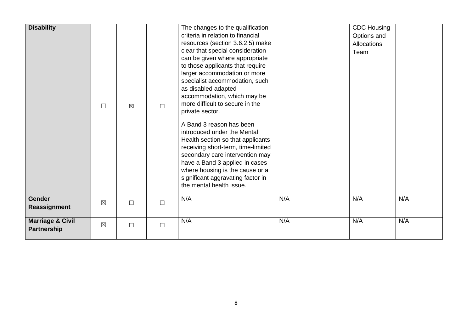| <b>Disability</b>                          | $\Box$      | $\boxtimes$ | $\Box$ | The changes to the qualification<br>criteria in relation to financial<br>resources (section 3.6.2.5) make<br>clear that special consideration<br>can be given where appropriate<br>to those applicants that require<br>larger accommodation or more<br>specialist accommodation, such<br>as disabled adapted<br>accommodation, which may be<br>more difficult to secure in the<br>private sector.<br>A Band 3 reason has been<br>introduced under the Mental<br>Health section so that applicants<br>receiving short-term, time-limited<br>secondary care intervention may<br>have a Band 3 applied in cases<br>where housing is the cause or a<br>significant aggravating factor in<br>the mental health issue. |     | <b>CDC Housing</b><br>Options and<br>Allocations<br>Team |     |
|--------------------------------------------|-------------|-------------|--------|------------------------------------------------------------------------------------------------------------------------------------------------------------------------------------------------------------------------------------------------------------------------------------------------------------------------------------------------------------------------------------------------------------------------------------------------------------------------------------------------------------------------------------------------------------------------------------------------------------------------------------------------------------------------------------------------------------------|-----|----------------------------------------------------------|-----|
| <b>Gender</b><br>Reassignment              | $\boxtimes$ | $\Box$      | $\Box$ | N/A                                                                                                                                                                                                                                                                                                                                                                                                                                                                                                                                                                                                                                                                                                              | N/A | N/A                                                      | N/A |
| <b>Marriage &amp; Civil</b><br>Partnership | $\boxtimes$ | $\Box$      | $\Box$ | N/A                                                                                                                                                                                                                                                                                                                                                                                                                                                                                                                                                                                                                                                                                                              | N/A | N/A                                                      | N/A |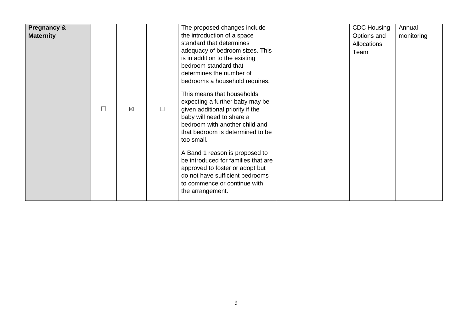| <b>Pregnancy &amp;</b> |   |   |        | The proposed changes include        | <b>CDC Housing</b> | Annual     |
|------------------------|---|---|--------|-------------------------------------|--------------------|------------|
| <b>Maternity</b>       |   |   |        | the introduction of a space         | Options and        | monitoring |
|                        |   |   |        | standard that determines            | <b>Allocations</b> |            |
|                        |   |   |        | adequacy of bedroom sizes. This     | Team               |            |
|                        |   |   |        | is in addition to the existing      |                    |            |
|                        |   |   |        | bedroom standard that               |                    |            |
|                        |   |   |        | determines the number of            |                    |            |
|                        |   |   |        | bedrooms a household requires.      |                    |            |
|                        |   |   |        |                                     |                    |            |
|                        |   |   |        | This means that households          |                    |            |
|                        |   |   |        | expecting a further baby may be     |                    |            |
|                        | П | 区 | $\Box$ | given additional priority if the    |                    |            |
|                        |   |   |        | baby will need to share a           |                    |            |
|                        |   |   |        | bedroom with another child and      |                    |            |
|                        |   |   |        | that bedroom is determined to be    |                    |            |
|                        |   |   |        | too small.                          |                    |            |
|                        |   |   |        |                                     |                    |            |
|                        |   |   |        | A Band 1 reason is proposed to      |                    |            |
|                        |   |   |        | be introduced for families that are |                    |            |
|                        |   |   |        | approved to foster or adopt but     |                    |            |
|                        |   |   |        | do not have sufficient bedrooms     |                    |            |
|                        |   |   |        | to commence or continue with        |                    |            |
|                        |   |   |        | the arrangement.                    |                    |            |
|                        |   |   |        |                                     |                    |            |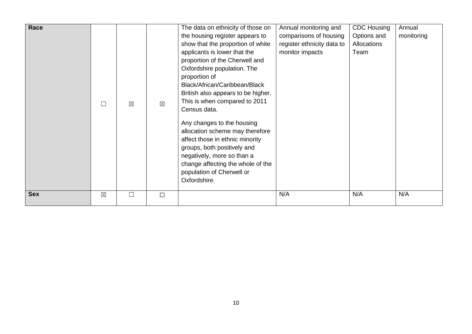| Race       |             | $\boxtimes$ | $\boxtimes$ | The data on ethnicity of those on<br>the housing register appears to<br>show that the proportion of white<br>applicants is lower that the<br>proportion of the Cherwell and<br>Oxfordshire population. The<br>proportion of<br>Black/African/Caribbean/Black<br>British also appears to be higher.<br>This is when compared to 2011<br>Census data.<br>Any changes to the housing<br>allocation scheme may therefore<br>affect those in ethnic minority<br>groups, both positively and<br>negatively, more so than a<br>change affecting the whole of the<br>population of Cherwell or<br>Oxfordshire. | Annual monitoring and<br>comparisons of housing<br>register ethnicity data to<br>monitor impacts | <b>CDC Housing</b><br>Options and<br>Allocations<br>Team | Annual<br>monitoring |
|------------|-------------|-------------|-------------|--------------------------------------------------------------------------------------------------------------------------------------------------------------------------------------------------------------------------------------------------------------------------------------------------------------------------------------------------------------------------------------------------------------------------------------------------------------------------------------------------------------------------------------------------------------------------------------------------------|--------------------------------------------------------------------------------------------------|----------------------------------------------------------|----------------------|
| <b>Sex</b> | $\boxtimes$ |             | $\Box$      |                                                                                                                                                                                                                                                                                                                                                                                                                                                                                                                                                                                                        | N/A                                                                                              | N/A                                                      | N/A                  |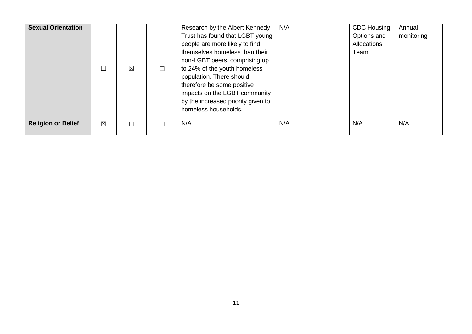<span id="page-10-0"></span>

| <b>Sexual Orientation</b> |             | $\boxtimes$ | $\Box$ | Research by the Albert Kennedy<br>Trust has found that LGBT young<br>people are more likely to find<br>themselves homeless than their<br>non-LGBT peers, comprising up<br>to 24% of the youth homeless<br>population. There should<br>therefore be some positive<br>impacts on the LGBT community<br>by the increased priority given to<br>homeless households. | N/A | <b>CDC Housing</b><br>Options and<br><b>Allocations</b><br>Team | Annual<br>monitoring |
|---------------------------|-------------|-------------|--------|-----------------------------------------------------------------------------------------------------------------------------------------------------------------------------------------------------------------------------------------------------------------------------------------------------------------------------------------------------------------|-----|-----------------------------------------------------------------|----------------------|
| <b>Religion or Belief</b> | $\boxtimes$ |             | П      | N/A                                                                                                                                                                                                                                                                                                                                                             | N/A | N/A                                                             | N/A                  |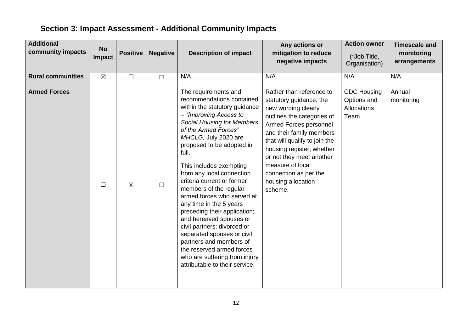# **Section 3: Impact Assessment - Additional Community Impacts**

| <b>Additional</b><br>community impacts | <b>No</b><br>Impact | <b>Positive</b> | <b>Negative</b> | <b>Description of impact</b>                                                                                                                                                                                                                                                                                                                                                                                                                                                                                                                                                                                                                                        | Any actions or<br>mitigation to reduce<br>negative impacts                                                                                                                                                                                                                                                                             | <b>Action owner</b><br>(*Job Title,<br>Organisation)     | <b>Timescale and</b><br>monitoring<br>arrangements |
|----------------------------------------|---------------------|-----------------|-----------------|---------------------------------------------------------------------------------------------------------------------------------------------------------------------------------------------------------------------------------------------------------------------------------------------------------------------------------------------------------------------------------------------------------------------------------------------------------------------------------------------------------------------------------------------------------------------------------------------------------------------------------------------------------------------|----------------------------------------------------------------------------------------------------------------------------------------------------------------------------------------------------------------------------------------------------------------------------------------------------------------------------------------|----------------------------------------------------------|----------------------------------------------------|
| <b>Rural communities</b>               | $\boxtimes$         | $\Box$          | $\Box$          | N/A                                                                                                                                                                                                                                                                                                                                                                                                                                                                                                                                                                                                                                                                 | N/A                                                                                                                                                                                                                                                                                                                                    | N/A                                                      | N/A                                                |
| <b>Armed Forces</b>                    | ⊔                   | $\boxtimes$     | $\Box$          | The requirements and<br>recommendations contained<br>within the statutory guidance<br>- "Improving Access to<br><b>Social Housing for Members</b><br>of the Armed Forces"<br>MHCLG, July 2020 are<br>proposed to be adopted in<br>full.<br>This includes exempting<br>from any local connection<br>criteria current or former<br>members of the regular<br>armed forces who served at<br>any time in the 5 years<br>preceding their application;<br>and bereaved spouses or<br>civil partners; divorced or<br>separated spouses or civil<br>partners and members of<br>the reserved armed forces<br>who are suffering from injury<br>attributable to their service. | Rather than reference to<br>statutory guidance, the<br>new wording clearly<br>outlines the categories of<br>Armed Forces personnel<br>and their family members<br>that will qualify to join the<br>housing register, whether<br>or not they meet another<br>measure of local<br>connection as per the<br>housing allocation<br>scheme. | <b>CDC Housing</b><br>Options and<br>Allocations<br>Team | Annual<br>monitoring                               |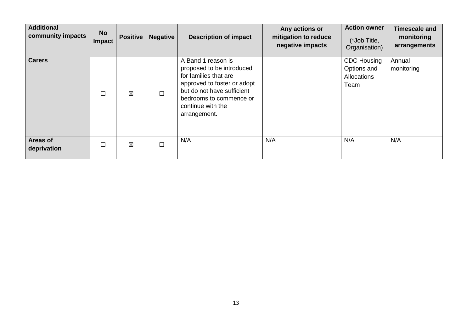| <b>Additional</b><br>community impacts | <b>No</b><br>Impact | <b>Positive</b> | <b>Negative</b> | <b>Description of impact</b>                                                                                                                                                                          | Any actions or<br>mitigation to reduce<br>negative impacts | <b>Action owner</b><br>(*Job Title,<br>Organisation)            | <b>Timescale and</b><br>monitoring<br>arrangements |
|----------------------------------------|---------------------|-----------------|-----------------|-------------------------------------------------------------------------------------------------------------------------------------------------------------------------------------------------------|------------------------------------------------------------|-----------------------------------------------------------------|----------------------------------------------------|
| <b>Carers</b>                          | $\Box$              | X               | $\Box$          | A Band 1 reason is<br>proposed to be introduced<br>for families that are<br>approved to foster or adopt<br>but do not have sufficient<br>bedrooms to commence or<br>continue with the<br>arrangement. |                                                            | <b>CDC Housing</b><br>Options and<br><b>Allocations</b><br>Team | Annual<br>monitoring                               |
| Areas of<br>deprivation                | □                   | 区               | $\Box$          | N/A                                                                                                                                                                                                   | N/A                                                        | N/A                                                             | N/A                                                |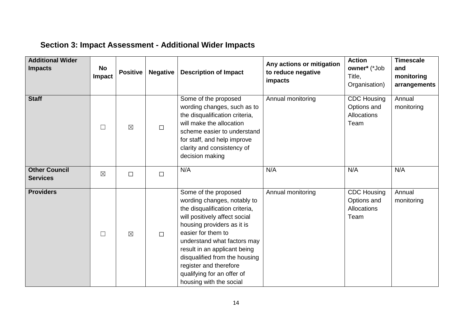# <span id="page-13-0"></span>**Section 3: Impact Assessment - Additional Wider Impacts**

| <b>Additional Wider</b><br><b>Impacts</b> | No<br><b>Impact</b> | <b>Positive</b> | <b>Negative</b> | <b>Description of Impact</b>                                                                                                                                                                                                                                                                                                                                  | Any actions or mitigation<br>to reduce negative<br>impacts | <b>Action</b><br>owner* (*Job<br>Title,<br>Organisation)        | <b>Timescale</b><br>and<br>monitoring<br>arrangements |
|-------------------------------------------|---------------------|-----------------|-----------------|---------------------------------------------------------------------------------------------------------------------------------------------------------------------------------------------------------------------------------------------------------------------------------------------------------------------------------------------------------------|------------------------------------------------------------|-----------------------------------------------------------------|-------------------------------------------------------|
| <b>Staff</b>                              | $\Box$              | $\boxtimes$     | $\Box$          | Some of the proposed<br>wording changes, such as to<br>the disqualification criteria,<br>will make the allocation<br>scheme easier to understand<br>for staff, and help improve<br>clarity and consistency of<br>decision making                                                                                                                              | Annual monitoring                                          | <b>CDC Housing</b><br>Options and<br><b>Allocations</b><br>Team | Annual<br>monitoring                                  |
| <b>Other Council</b><br><b>Services</b>   | $\boxtimes$         | $\Box$          | $\Box$          | N/A                                                                                                                                                                                                                                                                                                                                                           | N/A                                                        | N/A                                                             | N/A                                                   |
| <b>Providers</b>                          | П                   | $\boxtimes$     | $\Box$          | Some of the proposed<br>wording changes, notably to<br>the disqualification criteria,<br>will positively affect social<br>housing providers as it is<br>easier for them to<br>understand what factors may<br>result in an applicant being<br>disqualified from the housing<br>register and therefore<br>qualifying for an offer of<br>housing with the social | Annual monitoring                                          | <b>CDC Housing</b><br>Options and<br><b>Allocations</b><br>Team | Annual<br>monitoring                                  |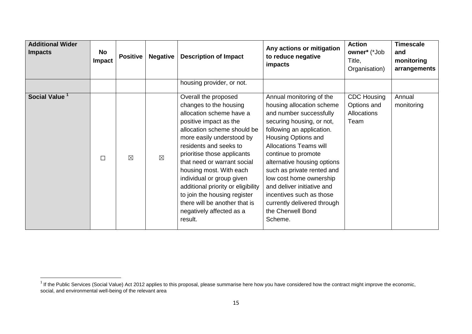| <b>Additional Wider</b><br><b>Impacts</b> | No<br><b>Impact</b> | <b>Positive</b> | <b>Negative</b> | <b>Description of Impact</b><br>housing provider, or not.                                                                                                                                                                                                                                                                                                                                                                                                      | Any actions or mitigation<br>to reduce negative<br>impacts                                                                                                                                                                                                                                                                                                                                                                                 | <b>Action</b><br>owner* (*Job<br>Title,<br>Organisation) | <b>Timescale</b><br>and<br>monitoring<br>arrangements |
|-------------------------------------------|---------------------|-----------------|-----------------|----------------------------------------------------------------------------------------------------------------------------------------------------------------------------------------------------------------------------------------------------------------------------------------------------------------------------------------------------------------------------------------------------------------------------------------------------------------|--------------------------------------------------------------------------------------------------------------------------------------------------------------------------------------------------------------------------------------------------------------------------------------------------------------------------------------------------------------------------------------------------------------------------------------------|----------------------------------------------------------|-------------------------------------------------------|
| Social Value <sup>1</sup>                 | $\Box$              | $\boxtimes$     | $\boxtimes$     | Overall the proposed<br>changes to the housing<br>allocation scheme have a<br>positive impact as the<br>allocation scheme should be<br>more easily understood by<br>residents and seeks to<br>prioritise those applicants<br>that need or warrant social<br>housing most. With each<br>individual or group given<br>additional priority or eligibility<br>to join the housing register<br>there will be another that is<br>negatively affected as a<br>result. | Annual monitoring of the<br>housing allocation scheme<br>and number successfully<br>securing housing, or not,<br>following an application.<br>Housing Options and<br><b>Allocations Teams will</b><br>continue to promote<br>alternative housing options<br>such as private rented and<br>low cost home ownership<br>and deliver initiative and<br>incentives such as those<br>currently delivered through<br>the Cherwell Bond<br>Scheme. | <b>CDC Housing</b><br>Options and<br>Allocations<br>Team | Annual<br>monitoring                                  |

 1 If the Public Services (Social Value) Act 2012 applies to this proposal, please summarise here how you have considered how the contract might improve the economic, social, and environmental well-being of the relevant area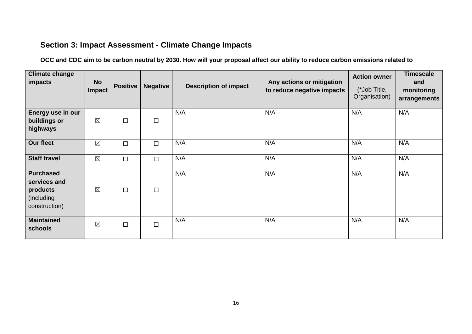#### <span id="page-15-0"></span>**Section 3: Impact Assessment - Climate Change Impacts**

**OCC and CDC aim to be carbon neutral by 2030. How will your proposal affect our ability to reduce carbon emissions related to**

| <b>Climate change</b><br>impacts                                            | <b>No</b><br>Impact | <b>Positive</b> | <b>Negative</b> | <b>Description of impact</b> | Any actions or mitigation<br>to reduce negative impacts | <b>Action owner</b><br>(*Job Title,<br>Organisation) | <b>Timescale</b><br>and<br>monitoring<br>arrangements |
|-----------------------------------------------------------------------------|---------------------|-----------------|-----------------|------------------------------|---------------------------------------------------------|------------------------------------------------------|-------------------------------------------------------|
| Energy use in our<br>buildings or<br>highways                               | $\boxtimes$         | $\Box$          | □               | N/A                          | N/A                                                     | N/A                                                  | N/A                                                   |
| <b>Our fleet</b>                                                            | $\boxtimes$         | $\Box$          | $\Box$          | N/A                          | N/A                                                     | N/A                                                  | N/A                                                   |
| <b>Staff travel</b>                                                         | $\boxtimes$         | $\Box$          | $\Box$          | N/A                          | N/A                                                     | N/A                                                  | N/A                                                   |
| <b>Purchased</b><br>services and<br>products<br>(including<br>construction) | $\boxtimes$         | $\Box$          | $\Box$          | N/A                          | N/A                                                     | N/A                                                  | N/A                                                   |
| <b>Maintained</b><br>schools                                                | $\boxtimes$         | $\Box$          | $\Box$          | N/A                          | N/A                                                     | N/A                                                  | N/A                                                   |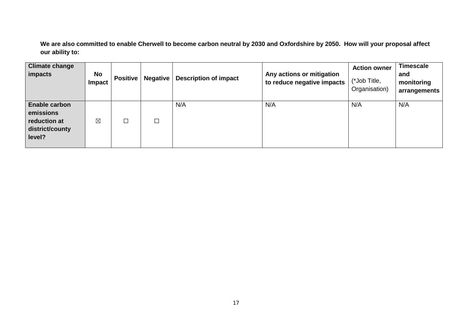**We are also committed to enable Cherwell to become carbon neutral by 2030 and Oxfordshire by 2050. How will your proposal affect our ability to:** 

| <b>Climate change</b><br>impacts                                               | <b>No</b><br>Impact | <b>Positive</b> | <b>Negative</b> | <b>Description of impact</b> | Any actions or mitigation<br>to reduce negative impacts | <b>Action owner</b><br>(*Job Title,<br>Organisation) | <b>Timescale</b><br>and<br>monitoring<br>arrangements |
|--------------------------------------------------------------------------------|---------------------|-----------------|-----------------|------------------------------|---------------------------------------------------------|------------------------------------------------------|-------------------------------------------------------|
| <b>Enable carbon</b><br>emissions<br>reduction at<br>district/county<br>level? | $\boxtimes$         | $\Box$          | $\Box$          | N/A                          | N/A                                                     | N/A                                                  | N/A                                                   |